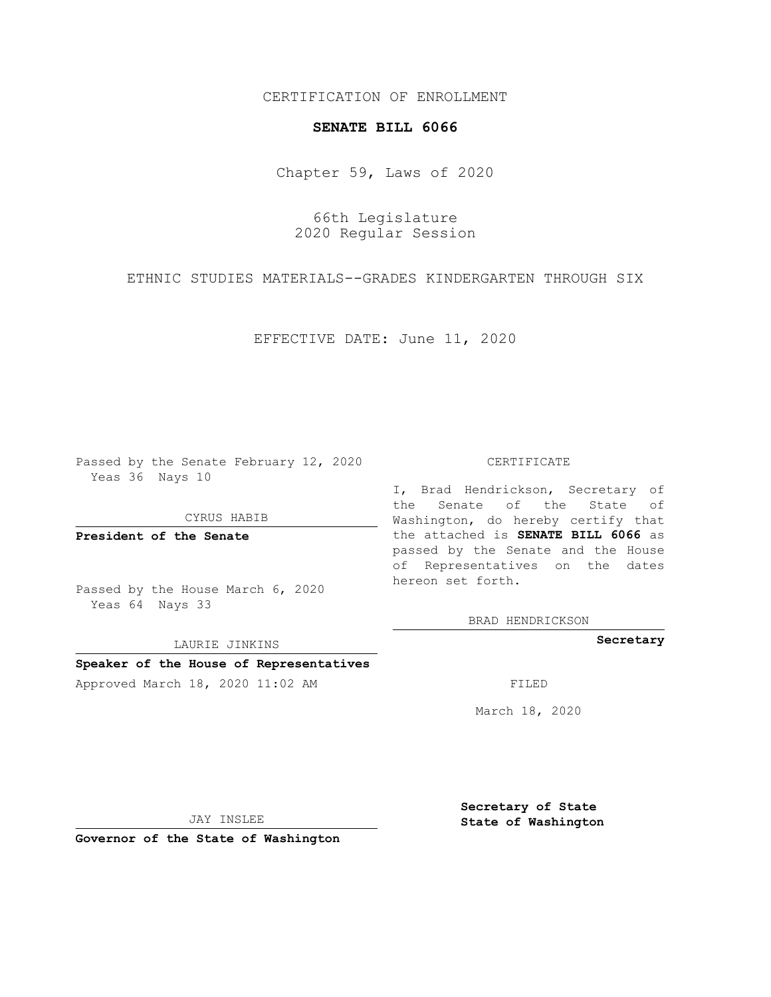## CERTIFICATION OF ENROLLMENT

### **SENATE BILL 6066**

Chapter 59, Laws of 2020

66th Legislature 2020 Regular Session

ETHNIC STUDIES MATERIALS--GRADES KINDERGARTEN THROUGH SIX

EFFECTIVE DATE: June 11, 2020

Passed by the Senate February 12, 2020 Yeas 36 Nays 10

CYRUS HABIB

**President of the Senate**

Passed by the House March 6, 2020 Yeas 64 Nays 33

LAURIE JINKINS

# **Speaker of the House of Representatives**

Approved March 18, 2020 11:02 AM FILED

#### CERTIFICATE

I, Brad Hendrickson, Secretary of the Senate of the State of Washington, do hereby certify that the attached is **SENATE BILL 6066** as passed by the Senate and the House of Representatives on the dates hereon set forth.

BRAD HENDRICKSON

**Secretary**

March 18, 2020

JAY INSLEE

**Governor of the State of Washington**

**Secretary of State State of Washington**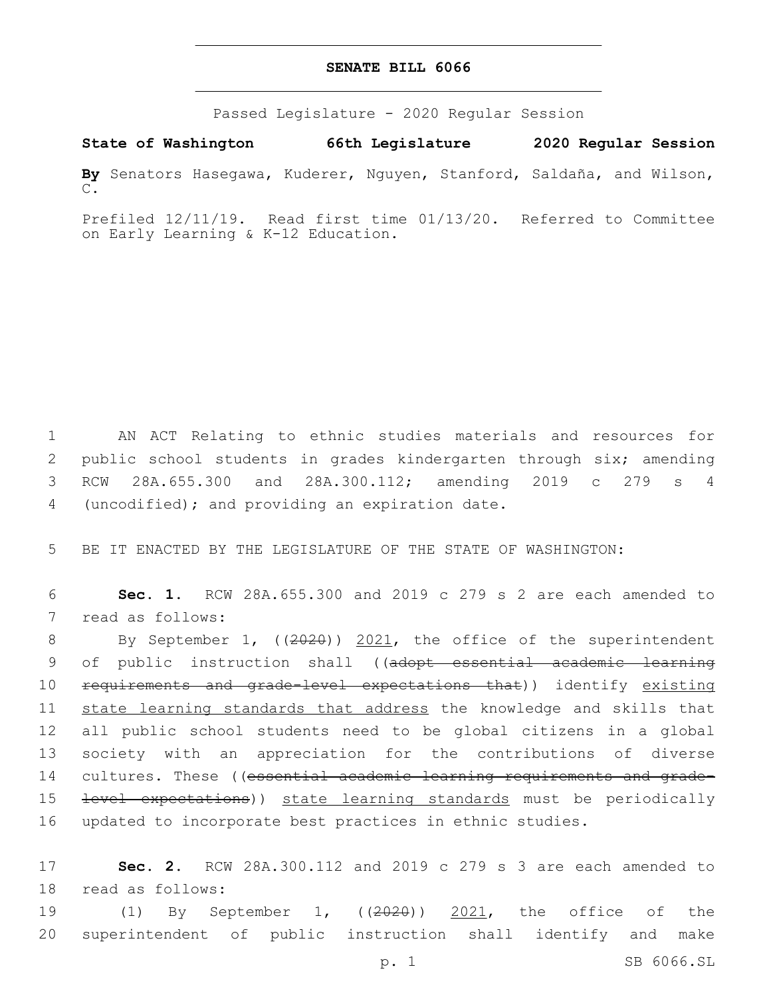## **SENATE BILL 6066**

Passed Legislature - 2020 Regular Session

**State of Washington 66th Legislature 2020 Regular Session**

**By** Senators Hasegawa, Kuderer, Nguyen, Stanford, Saldaña, and Wilson, C.

Prefiled 12/11/19. Read first time 01/13/20. Referred to Committee on Early Learning & K-12 Education.

1 AN ACT Relating to ethnic studies materials and resources for 2 public school students in grades kindergarten through six; amending 3 RCW 28A.655.300 and 28A.300.112; amending 2019 c 279 s 4 4 (uncodified); and providing an expiration date.

5 BE IT ENACTED BY THE LEGISLATURE OF THE STATE OF WASHINGTON:

6 **Sec. 1.** RCW 28A.655.300 and 2019 c 279 s 2 are each amended to 7 read as follows:

8 By September 1, ((2020)) 2021, the office of the superintendent 9 of public instruction shall ((adopt essential academic learning 10 requirements and grade-level expectations that)) identify existing 11 state learning standards that address the knowledge and skills that 12 all public school students need to be global citizens in a global 13 society with an appreciation for the contributions of diverse 14 cultures. These ((essential academic learning requirements and grade-15 <del>level expectations</del>)) state learning standards must be periodically 16 updated to incorporate best practices in ethnic studies.

17 **Sec. 2.** RCW 28A.300.112 and 2019 c 279 s 3 are each amended to 18 read as follows:

19 (1) By September 1, ((2020)) 2021, the office of the 20 superintendent of public instruction shall identify and make